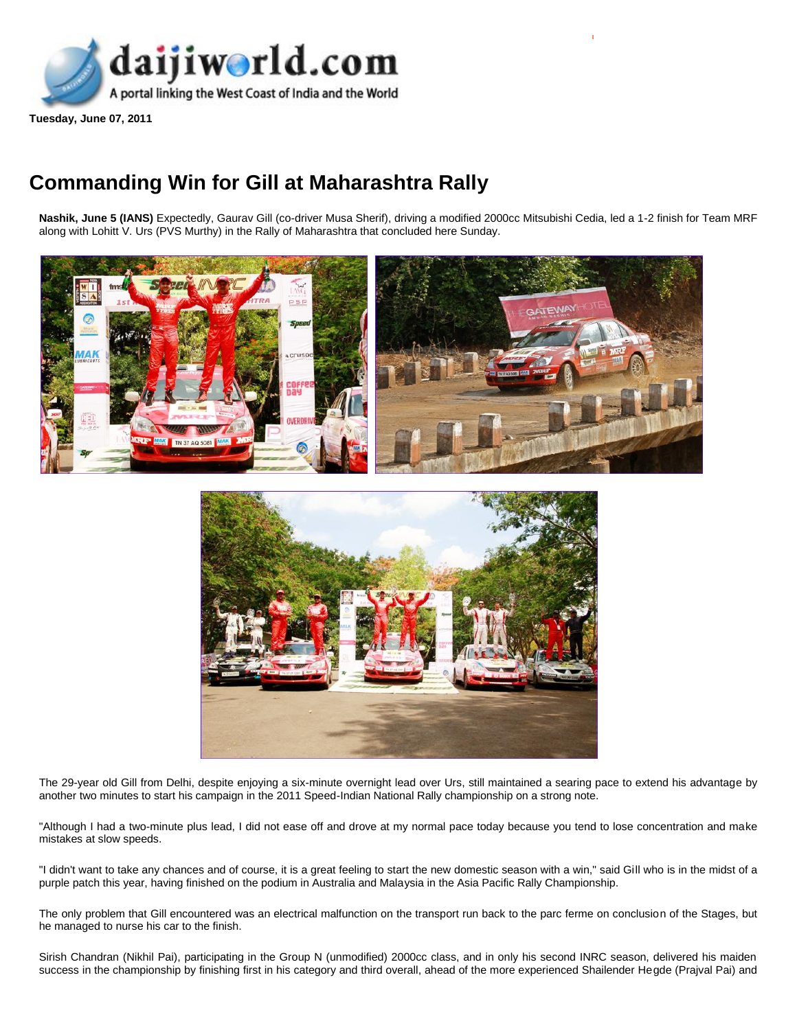

**Tuesday, June 07, 2011** 

## **Commanding Win for Gill at Maharashtra Rally**

Nashik, June 5 (IANS) Expectedly, Gaurav Gill (co-driver Musa Sherif), driving a modified 2000cc Mitsubishi Cedia, led a 1-2 finish for Team MRF along with Lohitt V. Urs (PVS Murthy) in the Rally of Maharashtra that concluded here Sunday.





The 29-year old Gill from Delhi, despite enjoying a six-minute overnight lead over Urs, still maintained a searing pace to extend his advantage by another two minutes to start his campaign in the 2011 Speed-Indian National Rally championship on a strong note.

"Although I had a two-minute plus lead, I did not ease off and drove at my normal pace today because you tend to lose concentration and make mistakes at slow speeds.

"I didn't want to take any chances and of course, it is a great feeling to start the new domestic season with a win," said Gill who is in the midst of a purple patch this year, having finished on the podium in Australia and Malaysia in the Asia Pacific Rally Championship.

The only problem that Gill encountered was an electrical malfunction on the transport run back to the parc ferme on conclusion of the Stages, but he managed to nurse his car to the finish.

Sirish Chandran (Nikhil Pai), participating in the Group N (unmodified) 2000cc class, and in only his second INRC season, delivered his maiden success in the championship by finishing first in his category and third overall, ahead of the more experienced Shailender Hegde (Prajval Pai) and